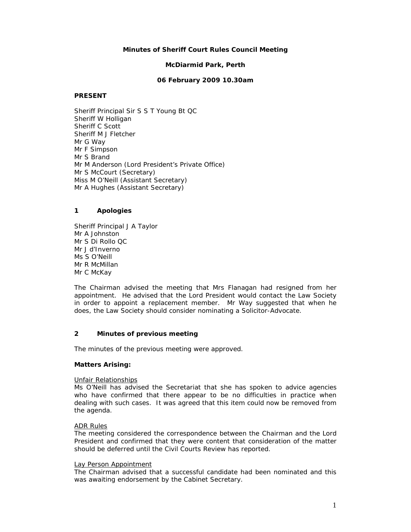# **Minutes of Sheriff Court Rules Council Meeting**

## **McDiarmid Park, Perth**

### **06 February 2009 10.30am**

### **PRESENT**

Sheriff Principal Sir S S T Young Bt QC Sheriff W Holligan Sheriff C Scott Sheriff M J Fletcher Mr G Way Mr F Simpson Mr S Brand Mr M Anderson (Lord President's Private Office) Mr S McCourt (Secretary) Miss M O'Neill (Assistant Secretary) Mr A Hughes (Assistant Secretary)

# **1 Apologies**

Sheriff Principal J A Taylor Mr A Johnston Mr S Di Rollo QC Mr J d'Inverno Ms S O'Neill Mr R McMillan Mr C McKay

The Chairman advised the meeting that Mrs Flanagan had resigned from her appointment. He advised that the Lord President would contact the Law Society in order to appoint a replacement member. Mr Way suggested that when he does, the Law Society should consider nominating a Solicitor-Advocate.

# **2 Minutes of previous meeting**

The minutes of the previous meeting were approved.

#### **Matters Arising:**

#### Unfair Relationships

Ms O'Neill has advised the Secretariat that she has spoken to advice agencies who have confirmed that there appear to be no difficulties in practice when dealing with such cases. It was agreed that this item could now be removed from the agenda.

#### ADR Rules

The meeting considered the correspondence between the Chairman and the Lord President and confirmed that they were content that consideration of the matter should be deferred until the Civil Courts Review has reported.

#### Lay Person Appointment

The Chairman advised that a successful candidate had been nominated and this was awaiting endorsement by the Cabinet Secretary.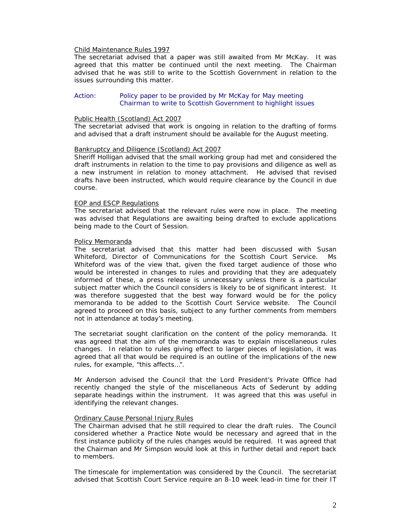#### Child Maintenance Rules 1997

The secretariat advised that a paper was still awaited from Mr McKay. It was agreed that this matter be continued until the next meeting. The Chairman advised that he was still to write to the Scottish Government in relation to the issues surrounding this matter.

### Action: Policy paper to be provided by Mr McKay for May meeting Chairman to write to Scottish Government to highlight issues

#### Public Health (Scotland) Act 2007

The secretariat advised that work is ongoing in relation to the drafting of forms and advised that a draft instrument should be available for the August meeting.

#### Bankruptcy and Diligence (Scotland) Act 2007

Sheriff Holligan advised that the small working group had met and considered the draft instruments in relation to the time to pay provisions and diligence as well as a new instrument in relation to money attachment. He advised that revised drafts have been instructed, which would require clearance by the Council in due course.

#### EOP and ESCP Regulations

The secretariat advised that the relevant rules were now in place. The meeting was advised that Regulations are awaiting being drafted to exclude applications being made to the Court of Session.

#### Policy Memoranda

The secretariat advised that this matter had been discussed with Susan Whiteford, Director of Communications for the Scottish Court Service. Ms Whiteford was of the view that, given the fixed target audience of those who would be interested in changes to rules and providing that they are adequately informed of these, a press release is unnecessary unless there is a particular subject matter which the Council considers is likely to be of significant interest. It was therefore suggested that the best way forward would be for the policy memoranda to be added to the Scottish Court Service website. The Council agreed to proceed on this basis, subject to any further comments from members not in attendance at today's meeting.

The secretariat sought clarification on the content of the policy memoranda. It was agreed that the aim of the memoranda was to explain miscellaneous rules changes. In relation to rules giving effect to larger pieces of legislation, it was agreed that all that would be required is an outline of the implications of the new rules, for example, "this affects…".

Mr Anderson advised the Council that the Lord President's Private Office had recently changed the style of the miscellaneous Acts of Sederunt by adding separate headings within the instrument. It was agreed that this was useful in identifying the relevant changes.

#### Ordinary Cause Personal Injury Rules

The Chairman advised that he still required to clear the draft rules. The Council considered whether a Practice Note would be necessary and agreed that in the first instance publicity of the rules changes would be required. It was agreed that the Chairman and Mr Simpson would look at this in further detail and report back to members.

The timescale for implementation was considered by the Council. The secretariat advised that Scottish Court Service require an 8-10 week lead-in time for their IT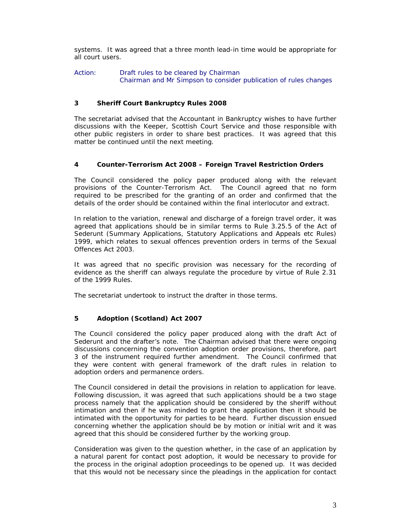systems. It was agreed that a three month lead-in time would be appropriate for all court users.

Action: Draft rules to be cleared by Chairman Chairman and Mr Simpson to consider publication of rules changes

# **3 Sheriff Court Bankruptcy Rules 2008**

The secretariat advised that the Accountant in Bankruptcy wishes to have further discussions with the Keeper, Scottish Court Service and those responsible with other public registers in order to share best practices. It was agreed that this matter be continued until the next meeting.

# **4 Counter-Terrorism Act 2008 – Foreign Travel Restriction Orders**

The Council considered the policy paper produced along with the relevant provisions of the Counter-Terrorism Act. The Council agreed that no form required to be prescribed for the granting of an order and confirmed that the details of the order should be contained within the final interlocutor and extract.

In relation to the variation, renewal and discharge of a foreign travel order, it was agreed that applications should be in similar terms to Rule 3.25.5 of the Act of Sederunt (Summary Applications, Statutory Applications and Appeals etc Rules) 1999, which relates to sexual offences prevention orders in terms of the Sexual Offences Act 2003.

It was agreed that no specific provision was necessary for the recording of evidence as the sheriff can always regulate the procedure by virtue of Rule 2.31 of the 1999 Rules.

The secretariat undertook to instruct the drafter in those terms.

# **5 Adoption (Scotland) Act 2007**

The Council considered the policy paper produced along with the draft Act of Sederunt and the drafter's note. The Chairman advised that there were ongoing discussions concerning the convention adoption order provisions, therefore, part 3 of the instrument required further amendment. The Council confirmed that they were content with general framework of the draft rules in relation to adoption orders and permanence orders.

The Council considered in detail the provisions in relation to application for leave. Following discussion, it was agreed that such applications should be a two stage process namely that the application should be considered by the sheriff without intimation and then if he was minded to grant the application then it should be intimated with the opportunity for parties to be heard. Further discussion ensued concerning whether the application should be by motion or initial writ and it was agreed that this should be considered further by the working group.

Consideration was given to the question whether, in the case of an application by a natural parent for contact post adoption, it would be necessary to provide for the process in the original adoption proceedings to be opened up. It was decided that this would not be necessary since the pleadings in the application for contact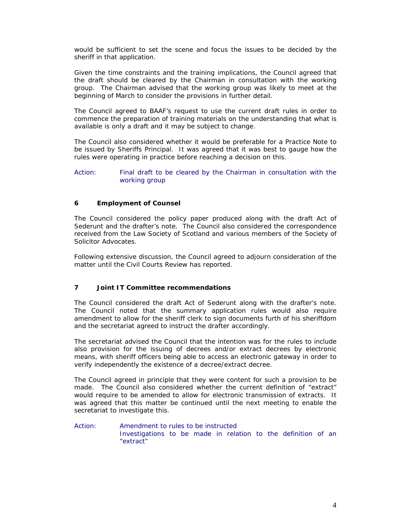would be sufficient to set the scene and focus the issues to be decided by the sheriff in that application.

Given the time constraints and the training implications, the Council agreed that the draft should be cleared by the Chairman in consultation with the working group. The Chairman advised that the working group was likely to meet at the beginning of March to consider the provisions in further detail.

The Council agreed to BAAF's request to use the current draft rules in order to commence the preparation of training materials on the understanding that what is available is only a draft and it may be subject to change.

The Council also considered whether it would be preferable for a Practice Note to be issued by Sheriffs Principal. It was agreed that it was best to gauge how the rules were operating in practice before reaching a decision on this.

### Action: Final draft to be cleared by the Chairman in consultation with the working group

# **6 Employment of Counsel**

The Council considered the policy paper produced along with the draft Act of Sederunt and the drafter's note. The Council also considered the correspondence received from the Law Society of Scotland and various members of the Society of Solicitor Advocates.

Following extensive discussion, the Council agreed to adjourn consideration of the matter until the Civil Courts Review has reported.

# **7 Joint IT Committee recommendations**

The Council considered the draft Act of Sederunt along with the drafter's note. The Council noted that the summary application rules would also require amendment to allow for the sheriff clerk to sign documents furth of his sheriffdom and the secretariat agreed to instruct the drafter accordingly.

The secretariat advised the Council that the intention was for the rules to include also provision for the issuing of decrees and/or extract decrees by electronic means, with sheriff officers being able to access an electronic gateway in order to verify independently the existence of a decree/extract decree.

The Council agreed in principle that they were content for such a provision to be made. The Council also considered whether the current definition of "extract" would require to be amended to allow for electronic transmission of extracts. It was agreed that this matter be continued until the next meeting to enable the secretariat to investigate this.

Action: Amendment to rules to be instructed Investigations to be made in relation to the definition of an "extract"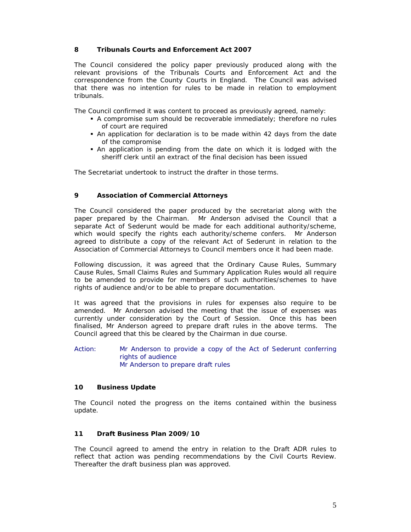# **8 Tribunals Courts and Enforcement Act 2007**

The Council considered the policy paper previously produced along with the relevant provisions of the Tribunals Courts and Enforcement Act and the correspondence from the County Courts in England. The Council was advised that there was no intention for rules to be made in relation to employment tribunals.

The Council confirmed it was content to proceed as previously agreed, namely:

- A compromise sum should be recoverable immediately; therefore no rules of court are required
- An application for declaration is to be made within 42 days from the date of the compromise
- An application is pending from the date on which it is lodged with the sheriff clerk until an extract of the final decision has been issued

The Secretariat undertook to instruct the drafter in those terms.

# **9 Association of Commercial Attorneys**

The Council considered the paper produced by the secretariat along with the paper prepared by the Chairman. Mr Anderson advised the Council that a separate Act of Sederunt would be made for each additional authority/scheme, which would specify the rights each authority/scheme confers. Mr Anderson agreed to distribute a copy of the relevant Act of Sederunt in relation to the Association of Commercial Attorneys to Council members once it had been made.

Following discussion, it was agreed that the Ordinary Cause Rules, Summary Cause Rules, Small Claims Rules and Summary Application Rules would all require to be amended to provide for members of such authorities/schemes to have rights of audience and/or to be able to prepare documentation.

It was agreed that the provisions in rules for expenses also require to be amended. Mr Anderson advised the meeting that the issue of expenses was currently under consideration by the Court of Session. Once this has been finalised, Mr Anderson agreed to prepare draft rules in the above terms. The Council agreed that this be cleared by the Chairman in due course.

Action: Mr Anderson to provide a copy of the Act of Sederunt conferring rights of audience Mr Anderson to prepare draft rules

# **10 Business Update**

The Council noted the progress on the items contained within the business update.

# **11 Draft Business Plan 2009/10**

The Council agreed to amend the entry in relation to the Draft ADR rules to reflect that action was pending recommendations by the Civil Courts Review. Thereafter the draft business plan was approved.